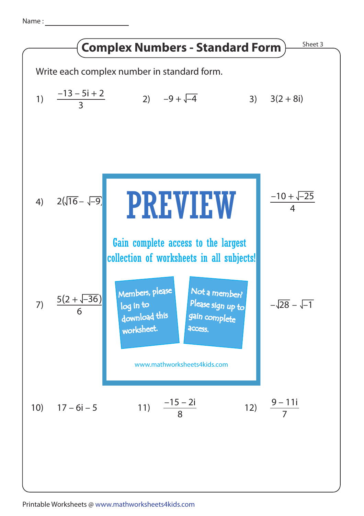